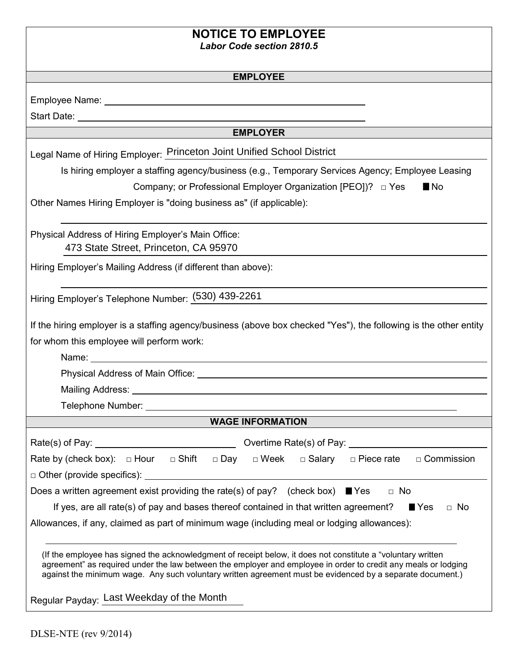## **NOTICE TO EMPLOYEE**

*Labor Code section 2810.5* 

#### **EMPLOYEE**

| Employee Name: |  |
|----------------|--|
|                |  |

Start Date:

### **EMPLOYER**

Legal Name of Hiring Employer: Princeton Joint Unified School District

Is hiring employer a staffing agency/business (e.g., Temporary Services Agency; Employee Leasing

Company; or Professional Employer Organization [PEO])? □ Yes

■ No

Other Names Hiring Employer is "doing business as" (if applicable):

Physical Address of Hiring Employer's Main Office: 473 State Street, Princeton, CA 95970

Hiring Employer's Mailing Address (if different than above):

Hiring Employer's Telephone Number: (530) 439-2261

If the hiring employer is a staffing agency/business (above box checked "Yes"), the following is the other entity for whom this employee will perform work:

Name:

Physical Address of Main Office: \_\_\_\_\_\_\_\_\_\_\_\_

Mailing Address:

Telephone Number:

### **WAGE INFORMATION**

| □ Shift<br>Rate by (check box): $\Box$ Hour<br>$\Box$ Day                                                                                                                                                                   | □ Salary<br>$\Box$ Week<br>$\Box$ Piece rate<br>$\Box$ Commission |  |  |  |
|-----------------------------------------------------------------------------------------------------------------------------------------------------------------------------------------------------------------------------|-------------------------------------------------------------------|--|--|--|
| $\Box$ Other (provide specifics):                                                                                                                                                                                           |                                                                   |  |  |  |
| Does a written agreement exist providing the rate(s) of pay? (check box) $\blacksquare$ Yes<br>$\Box$ No                                                                                                                    |                                                                   |  |  |  |
| If yes, are all rate(s) of pay and bases thereof contained in that written agreement?<br>$\blacksquare$ Yes<br>$\Box$ No                                                                                                    |                                                                   |  |  |  |
| Allowances, if any, claimed as part of minimum wage (including meal or lodging allowances):                                                                                                                                 |                                                                   |  |  |  |
|                                                                                                                                                                                                                             |                                                                   |  |  |  |
| (If the employee has signed the acknowledgment of receipt below, it does not constitute a "voluntary written")                                                                                                              |                                                                   |  |  |  |
| agreement" as required under the law between the employer and employee in order to credit any meals or lodging<br>against the minimum wage. Any such voluntary written agreement must be evidenced by a separate document.) |                                                                   |  |  |  |

Regular Payday: Last Weekday of the Month